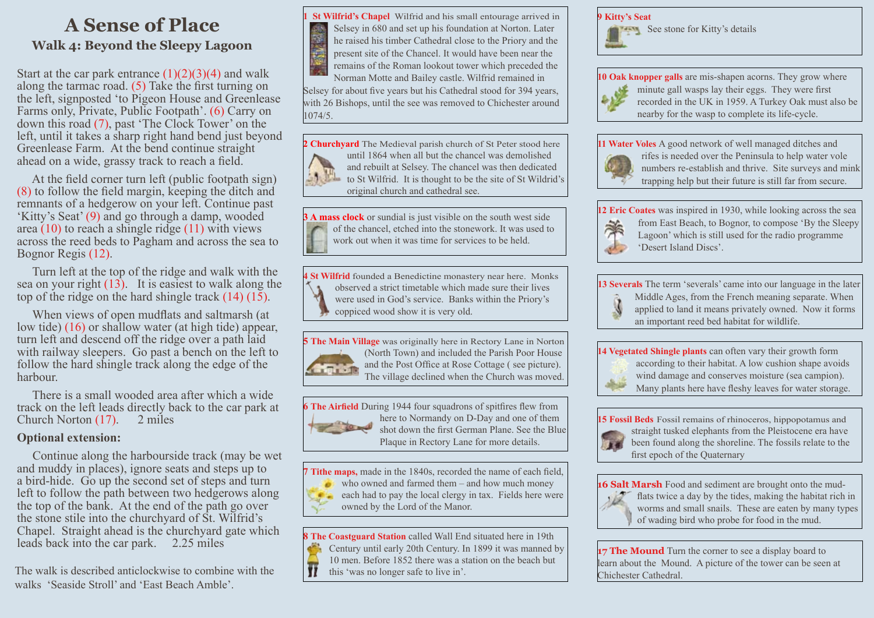### **A Sense of Place Walk 4: Beyond the Sleepy Lagoon**

Start at the car park entrance  $(1)(2)(3)(4)$  and walk along the tarmac road. (5) Take the first turning on the left, signposted 'to Pigeon House and Greenlease Farms only, Private, Public Footpath'. (6) Carry on down this road (7), past 'The Clock Tower' on the left, until it takes a sharp right hand bend just beyond Greenlease Farm. At the bend continue straight ahead on a wide, grassy track to reach a field.

 At the field corner turn left (public footpath sign) (8) to follow the field margin, keeping the ditch and remnants of a hedgerow on your left. Continue past 'Kitty's Seat' (9) and go through a damp, wooded area (10) to reach a shingle ridge (11) with views across the reed beds to Pagham and across the sea to Bognor Regis (12).

 Turn left at the top of the ridge and walk with the sea on your right  $(13)$ . It is easiest to walk along the top of the ridge on the hard shingle track  $(14)$   $(15)$ .

 When views of open mudflats and saltmarsh (at low tide) (16) or shallow water (at high tide) appear, turn left and descend off the ridge over a path laid with railway sleepers. Go past a bench on the left to follow the hard shingle track along the edge of the harbour.

 There is a small wooded area after which a wide track on the left leads directly back to the car park at Church Norton  $(17)$ . 2 miles Church Norton  $(17)$ .

#### **Optional extension:**

 Continue along the harbourside track (may be wet and muddy in places), ignore seats and steps up to a bird-hide. Go up the second set of steps and turn left to follow the path between two hedgerows along the top of the bank. At the end of the path go over the stone stile into the churchyard of St. Wilfrid's Chapel. Straight ahead is the churchyard gate which leads back into the car park. 2.25 miles

The walk is described anticlockwise to combine with the walks 'Seaside Stroll' and 'East Beach Amble'.

**1 St Wilfrid's Chapel** Wilfrid and his small entourage arrived in Selsey in 680 and set up his foundation at Norton. Later he raised his timber Cathedral close to the Priory and the present site of the Chancel. It would have been near the remains of the Roman lookout tower which preceded the

Norman Motte and Bailey castle. Wilfrid remained in Selsey for about five years but his Cathedral stood for 394 years, with 26 Bishops, until the see was removed to Chichester around  $1074/5.$ 

**2 Churchyard** The Medieval parish church of St Peter stood here until 1864 when all but the chancel was demolished and rebuilt at Selsey. The chancel was then dedicated to St Wilfrid. It is thought to be the site of St Wildrid's original church and cathedral see.

**3 A mass clock** or sundial is just visible on the south west side of the chancel, etched into the stonework. It was used to work out when it was time for services to be held.

**4 St Wilfrid** founded a Benedictine monastery near here. Monks observed a strict timetable which made sure their lives were used in God's service. Banks within the Priory's coppiced wood show it is very old.

**5 The Main Village** was originally here in Rectory Lane in Norton (North Town) and included the Parish Poor House and the Post Office at Rose Cottage ( see picture). The village declined when the Church was moved.

**6 The Airfield** During 1944 four squadrons of spitfires flew from here to Normandy on D-Day and one of them shot down the first German Plane. See the Blue Plaque in Rectory Lane for more details.

**7 Tithe maps,** made in the 1840s, recorded the name of each field, who owned and farmed them – and how much money each had to pay the local clergy in tax. Fields here were owned by the Lord of the Manor.

**8 The Coastguard Station** called Wall End situated here in 19th Century until early 20th Century. In 1899 it was manned by 10 men. Before 1852 there was a station on the beach but  $\overline{\mathbf{H}}$ this 'was no longer safe to live in'.

**9 Kitty's Seat See stone for Kitty's details** 

**10 Oak knopper galls** are mis-shapen acorns. They grow where minute gall wasps lay their eggs. They were first recorded in the UK in 1959. A Turkey Oak must also be nearby for the wasp to complete its life-cycle.

**11 Water Voles** A good network of well managed ditches and



rifes is needed over the Peninsula to help water vole numbers re-establish and thrive. Site surveys and mink trapping help but their future is still far from secure.

**12 Eric Coates** was inspired in 1930, while looking across the sea from East Beach, to Bognor, to compose 'By the Sleepy



Lagoon' which is still used for the radio programme 'Desert Island Discs'.

**13 Severals** The term 'severals' came into our language in the later Middle Ages, from the French meaning separate. When



**14 Vegetated Shingle plants** can often vary their growth form according to their habitat. A low cushion shape avoids wind damage and conserves moisture (sea campion). Many plants here have fleshy leaves for water storage.

**15 Fossil Beds** Fossil remains of rhinoceros, hippopotamus and straight tusked elephants from the Pleistocene era have been found along the shoreline. The fossils relate to the first epoch of the Quaternary



**16 Salt Marsh** Food and sediment are brought onto the mudflats twice a day by the tides, making the habitat rich in worms and small snails. These are eaten by many types of wading bird who probe for food in the mud.

**17 The Mound** Turn the corner to see a display board to learn about the Mound. A picture of the tower can be seen at Chichester Cathedral.